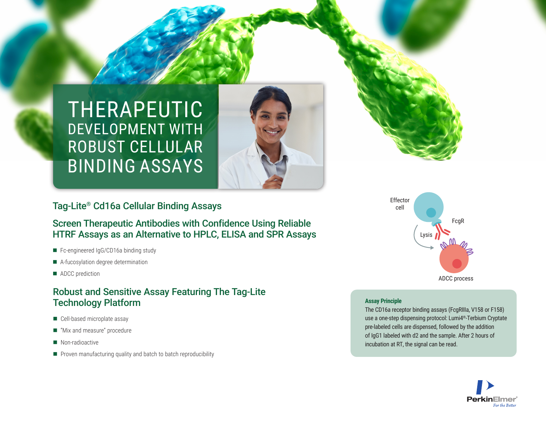



## Tag-Lite® Cd16a Cellular Binding Assays

## Screen Therapeutic Antibodies with Confidence Using Reliable HTRF Assays as an Alternative to HPLC, ELISA and SPR Assays

- Fc-engineered IgG/CD16a binding study
- A-fucosylation degree determination
- ADCC prediction

## Robust and Sensitive Assay Featuring The Tag-Lite Technology Platform

- $\blacksquare$  Cell-based microplate assay
- "Mix and measure" procedure
- Non-radioactive
- $\blacksquare$  Proven manufacturing quality and batch to batch reproducibility



#### **Assay Principle**

The CD16a receptor binding assays (FcgRIIIa, V158 or F158) use a one-step dispensing protocol: Lumi4®-Terbium Cryptate pre-labeled cells are dispensed, followed by the addition of IgG1 labeled with d2 and the sample. After 2 hours of incubation at RT, the signal can be read.